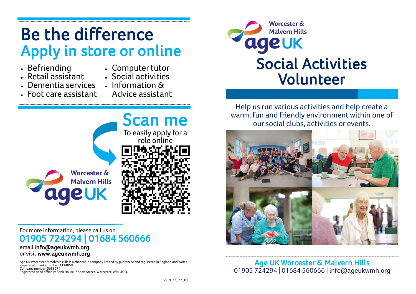# Be the difference Apply in store or online

- Befriending
- Computer tutor
- Retail assistant
- Dementia services Information &
	-
- Social activities
- 
- Foot care assistant Advice assistant



# For more information, please call us on 01905 724294 | 01684 560666

#### email info@ageukwmh.org or visit www.ageukwmh.org

Age UK Worcester & Malvern Hills is a charitable company limited by guarantee and registered in England and Wales Registered charity number: 1114859 Company number: 5688674 Registered head office is: Bank House, 7 Shaw Street, Worcester, WR1 3QQ.



Help us run various activities and help create a warm, fun and friendly environment within one of our social clubs, activities or events.



Age UK Worcester & Malvern Hills 01905 724294 | 01684 560666 | info@ageukwmh.org